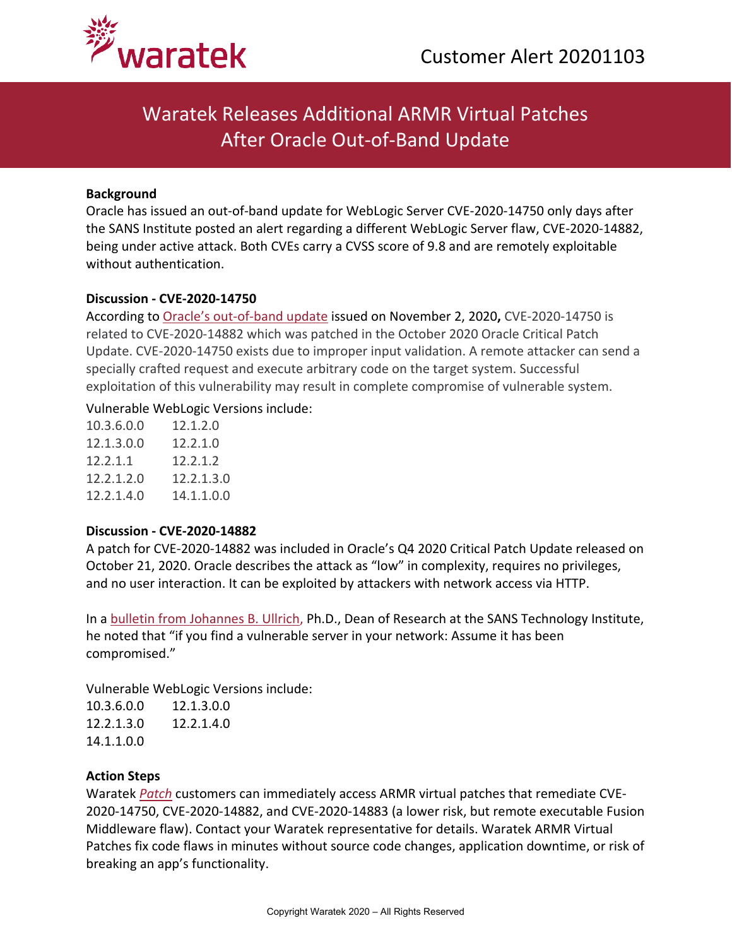

# Waratek Releases Additional ARMR Virtual Patches After Oracle Out-of-Band Update

### **Background**

Oracle has issued an out-of-band update for WebLogic Server CVE-2020-14750 only days after the SANS Institute posted an alert regarding a different WebLogic Server flaw, CVE-2020-14882, being under active attack. Both CVEs carry a CVSS score of 9.8 and are remotely exploitable without authentication.

#### **Discussion - CVE-2020-14750**

According to [Oracle's out-of-band update](https://www.oracle.com/security-alerts/alert-cve-2020-14750.html) issued on November 2, 2020**,** CVE-2020-14750 is related to CVE-2020-14882 which was patched in the October 2020 Oracle Critical Patch Update. CVE-2020-14750 exists due to improper input validation. A remote attacker can send a specially crafted request and execute arbitrary code on the target system. Successful exploitation of this vulnerability may result in complete compromise of vulnerable system.

### Vulnerable WebLogic Versions include:

| 10.3.6.0.0 | 12.1.2.0   |
|------------|------------|
| 12.1.3.0.0 | 12.2.1.0   |
| 12.2.1.1   | 12.2.1.2   |
| 12.2.1.2.0 | 12.2.1.3.0 |
| 12.2.1.4.0 | 14.1.1.0.0 |
|            |            |

## **Discussion - CVE-2020-14882**

A patch for CVE-2020-14882 was included in Oracle's Q4 2020 Critical Patch Update released on October 21, 2020. Oracle describes the attack as "low" in complexity, requires no privileges, and no user interaction. It can be exploited by attackers with network access via HTTP.

In a [bulletin from Johannes B. Ullrich,](https://isc.sans.edu/forums/diary/PATCH+NOW+CVE202014882+Weblogic+Actively+Exploited+Against+Honeypots/26734/) Ph.D., Dean of Research at the SANS Technology Institute, he noted that "if you find a vulnerable server in your network: Assume it has been compromised."

Vulnerable WebLogic Versions include:

10.3.6.0.0 12.1.3.0.0 12.2.1.3.0 12.2.1.4.0 14.1.1.0.0

## **Action Steps**

Waratek *[Patch](https://www.waratek.com/virtual-patching/)* customers can immediately access ARMR virtual patches that remediate CVE-2020-14750, CVE-2020-14882, and CVE-2020-14883 (a lower risk, but remote executable Fusion Middleware flaw). Contact your Waratek representative for details. Waratek ARMR Virtual Patches fix code flaws in minutes without source code changes, application downtime, or risk of breaking an app's functionality.